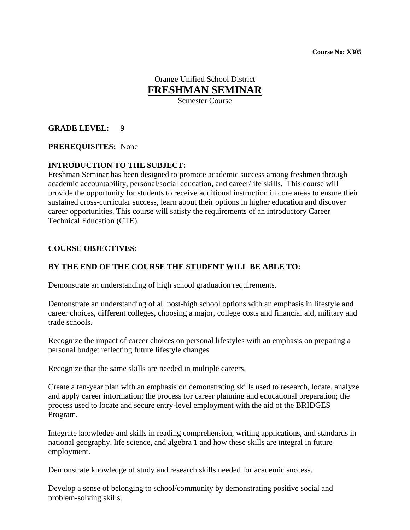**Course No: X305** 

# Orange Unified School District **FRESHMAN SEMINAR**

Semester Course

## **GRADE LEVEL:** 9

### **PREREQUISITES:** None

## **INTRODUCTION TO THE SUBJECT:**

Freshman Seminar has been designed to promote academic success among freshmen through academic accountability, personal/social education, and career/life skills. This course will provide the opportunity for students to receive additional instruction in core areas to ensure their sustained cross-curricular success, learn about their options in higher education and discover career opportunities. This course will satisfy the requirements of an introductory Career Technical Education (CTE).

### **COURSE OBJECTIVES:**

## **BY THE END OF THE COURSE THE STUDENT WILL BE ABLE TO:**

Demonstrate an understanding of high school graduation requirements.

Demonstrate an understanding of all post-high school options with an emphasis in lifestyle and career choices, different colleges, choosing a major, college costs and financial aid, military and trade schools.

Recognize the impact of career choices on personal lifestyles with an emphasis on preparing a personal budget reflecting future lifestyle changes.

Recognize that the same skills are needed in multiple careers.

Create a ten-year plan with an emphasis on demonstrating skills used to research, locate, analyze and apply career information; the process for career planning and educational preparation; the process used to locate and secure entry-level employment with the aid of the BRIDGES Program.

Integrate knowledge and skills in reading comprehension, writing applications, and standards in national geography, life science, and algebra 1 and how these skills are integral in future employment.

Demonstrate knowledge of study and research skills needed for academic success.

Develop a sense of belonging to school/community by demonstrating positive social and problem-solving skills.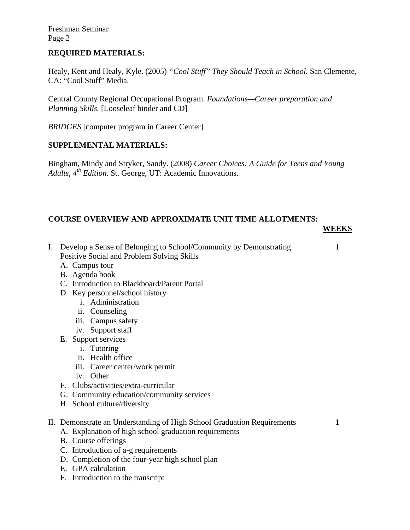Freshman Seminar Page 2

### **REQUIRED MATERIALS:**

Healy, Kent and Healy, Kyle. (2005) *"Cool Stuff" They Should Teach in School.* San Clemente, CA: "Cool Stuff" Media.

Central County Regional Occupational Program. *Foundations—Career preparation and Planning Skills.* [Looseleaf binder and CD]

*BRIDGES* [computer program in Career Center]

### **SUPPLEMENTAL MATERIALS:**

Bingham, Mindy and Stryker, Sandy. (2008) *Career Choices: A Guide for Teens and Young*  Adults, 4<sup>th</sup> Edition. St. George, UT: Academic Innovations.

## **COURSE OVERVIEW AND APPROXIMATE UNIT TIME ALLOTMENTS:**

#### **WEEKS**

- I. Develop a Sense of Belonging to School/Community by Demonstrating 1 Positive Social and Problem Solving Skills
	-
- A. Campus tour
- B. Agenda book
- C. Introduction to Blackboard/Parent Portal
- D. Key personnel/school history
	- i. Administration
	- ii. Counseling
	- iii. Campus safety
	- iv. Support staff
- E. Support services
	- i. Tutoring
	- ii. Health office
	- iii. Career center/work permit
	- iv. Other
- F. Clubs/activities/extra-curricular
- G. Community education/community services
- H. School culture/diversity

#### II. Demonstrate an Understanding of High School Graduation Requirements 1

- A. Explanation of high school graduation requirements
- B. Course offerings
- C. Introduction of a-g requirements
- D. Completion of the four-year high school plan
- E. GPA calculation
- F. Introduction to the transcript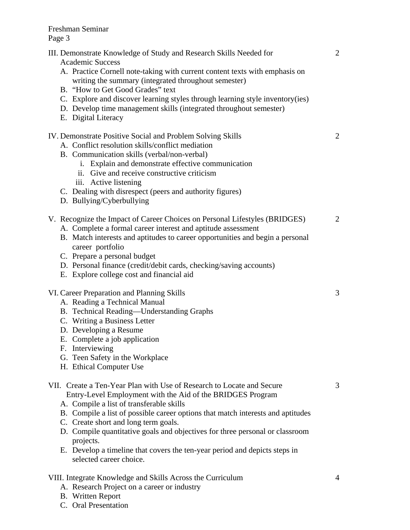Freshman Seminar Page 3

| III. Demonstrate Knowledge of Study and Research Skills Needed for<br><b>Academic Success</b><br>A. Practice Cornell note-taking with current content texts with emphasis on<br>writing the summary (integrated throughout semester)<br>B. "How to Get Good Grades" text<br>C. Explore and discover learning styles through learning style inventory(ies)<br>D. Develop time management skills (integrated throughout semester)<br>E. Digital Literacy                                                           | 2              |
|------------------------------------------------------------------------------------------------------------------------------------------------------------------------------------------------------------------------------------------------------------------------------------------------------------------------------------------------------------------------------------------------------------------------------------------------------------------------------------------------------------------|----------------|
| IV. Demonstrate Positive Social and Problem Solving Skills<br>A. Conflict resolution skills/conflict mediation<br>B. Communication skills (verbal/non-verbal)<br>i. Explain and demonstrate effective communication<br>ii. Give and receive constructive criticism<br>iii. Active listening<br>C. Dealing with disrespect (peers and authority figures)<br>D. Bullying/Cyberbullying                                                                                                                             | 2              |
| V. Recognize the Impact of Career Choices on Personal Lifestyles (BRIDGES)<br>A. Complete a formal career interest and aptitude assessment<br>B. Match interests and aptitudes to career opportunities and begin a personal<br>career portfolio<br>C. Prepare a personal budget<br>D. Personal finance (credit/debit cards, checking/saving accounts)<br>E. Explore college cost and financial aid                                                                                                               | $\overline{2}$ |
| VI. Career Preparation and Planning Skills<br>A. Reading a Technical Manual<br>B. Technical Reading-Understanding Graphs<br>C. Writing a Business Letter<br>D. Developing a Resume<br>E. Complete a job application<br>F. Interviewing<br>G. Teen Safety in the Workplace<br>H. Ethical Computer Use                                                                                                                                                                                                             | 3              |
| VII. Create a Ten-Year Plan with Use of Research to Locate and Secure<br>Entry-Level Employment with the Aid of the BRIDGES Program<br>A. Compile a list of transferable skills<br>B. Compile a list of possible career options that match interests and aptitudes<br>C. Create short and long term goals.<br>D. Compile quantitative goals and objectives for three personal or classroom<br>projects.<br>E. Develop a timeline that covers the ten-year period and depicts steps in<br>selected career choice. | 3              |
| VIII. Integrate Knowledge and Skills Across the Curriculum                                                                                                                                                                                                                                                                                                                                                                                                                                                       | 4              |

A. Research Project on a career or industry

C. Oral Presentation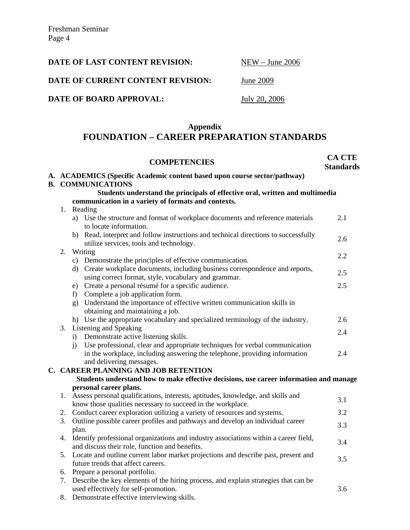| DATE OF LAST CONTENT REVISION:    | $NEW - June 2006$ |
|-----------------------------------|-------------------|
| DATE OF CURRENT CONTENT REVISION: | June 2009         |
| DATE OF BOARD APPROVAL:           | July 20, 2006     |
|                                   |                   |

## **Appendix FOUNDATION – CAREER PREPARATION STANDARDS**

|                                                                                        | <b>COMPETENCIES</b>                                                                                                                                                     | <b>CA CTE</b><br><b>Standards</b> |  |  |
|----------------------------------------------------------------------------------------|-------------------------------------------------------------------------------------------------------------------------------------------------------------------------|-----------------------------------|--|--|
|                                                                                        | A. ACADEMICS (Specific Academic content based upon course sector/pathway)                                                                                               |                                   |  |  |
|                                                                                        | <b>B. COMMUNICATIONS</b>                                                                                                                                                |                                   |  |  |
|                                                                                        | Students understand the principals of effective oral, written and multimedia                                                                                            |                                   |  |  |
|                                                                                        | communication in a variety of formats and contexts.                                                                                                                     |                                   |  |  |
|                                                                                        | 1. Reading                                                                                                                                                              |                                   |  |  |
|                                                                                        | a) Use the structure and format of workplace documents and reference materials<br>to locate information.                                                                | 2.1                               |  |  |
|                                                                                        | b) Read, interpret and follow instructions and technical directions to successfully<br>utilize services, tools and technology.                                          | 2.6                               |  |  |
| 2.                                                                                     | Writing                                                                                                                                                                 | 2.2                               |  |  |
|                                                                                        | c) Demonstrate the principles of effective communication.                                                                                                               |                                   |  |  |
|                                                                                        | d) Create workplace documents, including business correspondence and reports,<br>using correct format, style, vocabulary and grammar.                                   | 2.5                               |  |  |
|                                                                                        | e) Create a personal résumé for a specific audience.                                                                                                                    | 2.5                               |  |  |
|                                                                                        | f) Complete a job application form.                                                                                                                                     |                                   |  |  |
|                                                                                        | g) Understand the importance of effective written communication skills in<br>obtaining and maintaining a job.                                                           |                                   |  |  |
|                                                                                        | h) Use the appropriate vocabulary and specialized terminology of the industry.                                                                                          | 2.6                               |  |  |
| 3.                                                                                     | Listening and Speaking                                                                                                                                                  | 2.4                               |  |  |
|                                                                                        | Demonstrate active listening skills.<br>$\bf{1)}$                                                                                                                       |                                   |  |  |
|                                                                                        | Use professional, clear and appropriate techniques for verbal communication<br>$\ddot{1}$<br>in the workplace, including answering the telephone, providing information | 2.4                               |  |  |
|                                                                                        | and delivering messages.                                                                                                                                                |                                   |  |  |
|                                                                                        | C. CAREER PLANNING AND JOB RETENTION                                                                                                                                    |                                   |  |  |
| Students understand how to make effective decisions, use career information and manage |                                                                                                                                                                         |                                   |  |  |
| personal career plans.                                                                 |                                                                                                                                                                         |                                   |  |  |
|                                                                                        | 1. Assess personal qualifications, interests, aptitudes, knowledge, and skills and                                                                                      |                                   |  |  |
|                                                                                        | know those qualities necessary to succeed in the workplace.                                                                                                             | 3.1                               |  |  |
|                                                                                        | 2. Conduct career exploration utilizing a variety of resources and systems.                                                                                             | 3.2                               |  |  |
| 3.                                                                                     | Outline possible career profiles and pathways and develop an individual career                                                                                          |                                   |  |  |
|                                                                                        | plan.                                                                                                                                                                   | 3.3                               |  |  |
| 4.                                                                                     | Identify professional organizations and industry associations within a career field,<br>and discuss their role, function and benefits.                                  | 3.4                               |  |  |
|                                                                                        | 5. Locate and outline current labor market projections and describe past, present and                                                                                   |                                   |  |  |
|                                                                                        | future trends that affect careers.                                                                                                                                      | 3.5                               |  |  |
|                                                                                        | 6. Prepare a personal portfolio.                                                                                                                                        |                                   |  |  |
| 7.                                                                                     | Describe the key elements of the hiring process, and explain strategies that can be                                                                                     |                                   |  |  |
|                                                                                        | used effectively for self-promotion.                                                                                                                                    | 3.6                               |  |  |
|                                                                                        | 8. Demonstrate effective interviewing skills.                                                                                                                           |                                   |  |  |